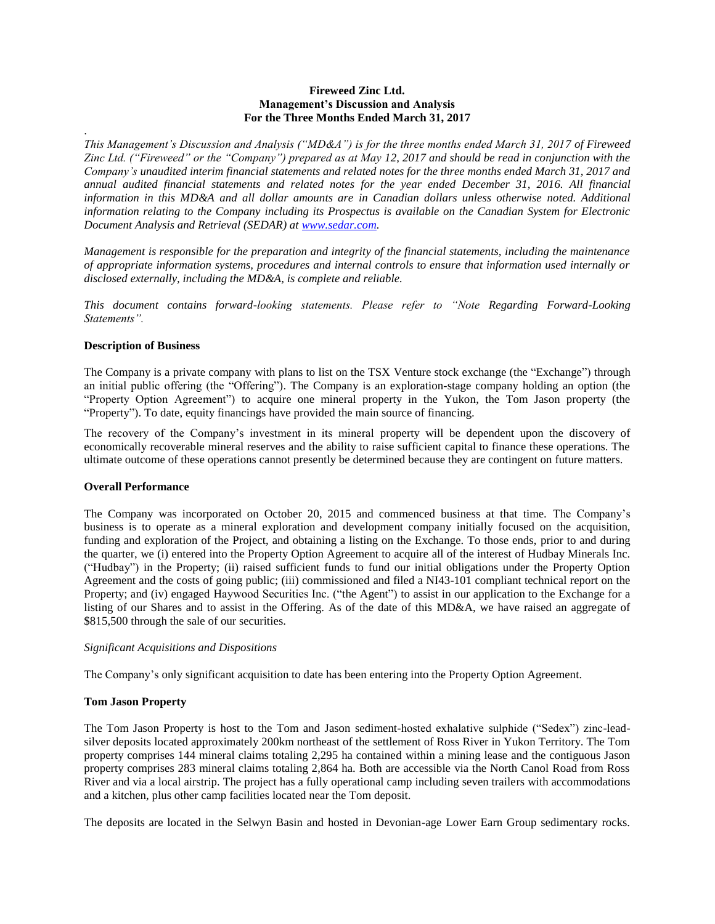## **Fireweed Zinc Ltd. Management's Discussion and Analysis For the Three Months Ended March 31, 2017**

*This Management's Discussion and Analysis ("MD&A") is for the three months ended March 31, 2017 of Fireweed Zinc Ltd. ("Fireweed" or the "Company") prepared as at May 12, 2017 and should be read in conjunction with the Company's unaudited interim financial statements and related notes for the three months ended March 31, 2017 and annual audited financial statements and related notes for the year ended December 31, 2016. All financial information in this MD&A and all dollar amounts are in Canadian dollars unless otherwise noted. Additional information relating to the Company including its Prospectus is available on the Canadian System for Electronic Document Analysis and Retrieval (SEDAR) at [www.sedar.com.](http://www.sedar.com/)*

*Management is responsible for the preparation and integrity of the financial statements, including the maintenance of appropriate information systems, procedures and internal controls to ensure that information used internally or disclosed externally, including the MD&A, is complete and reliable.*

*This document contains forward-looking statements. Please refer to "Note Regarding Forward-Looking Statements".*

## **Description of Business**

.

The Company is a private company with plans to list on the TSX Venture stock exchange (the "Exchange") through an initial public offering (the "Offering"). The Company is an exploration-stage company holding an option (the "Property Option Agreement") to acquire one mineral property in the Yukon, the Tom Jason property (the "Property"). To date, equity financings have provided the main source of financing.

The recovery of the Company's investment in its mineral property will be dependent upon the discovery of economically recoverable mineral reserves and the ability to raise sufficient capital to finance these operations. The ultimate outcome of these operations cannot presently be determined because they are contingent on future matters.

## **Overall Performance**

The Company was incorporated on October 20, 2015 and commenced business at that time. The Company's business is to operate as a mineral exploration and development company initially focused on the acquisition, funding and exploration of the Project, and obtaining a listing on the Exchange. To those ends, prior to and during the quarter, we (i) entered into the Property Option Agreement to acquire all of the interest of Hudbay Minerals Inc. ("Hudbay") in the Property; (ii) raised sufficient funds to fund our initial obligations under the Property Option Agreement and the costs of going public; (iii) commissioned and filed a NI43-101 compliant technical report on the Property; and (iv) engaged Haywood Securities Inc. ("the Agent") to assist in our application to the Exchange for a listing of our Shares and to assist in the Offering. As of the date of this MD&A, we have raised an aggregate of \$815,500 through the sale of our securities.

## *Significant Acquisitions and Dispositions*

The Company's only significant acquisition to date has been entering into the Property Option Agreement.

## **Tom Jason Property**

The Tom Jason Property is host to the Tom and Jason sediment-hosted exhalative sulphide ("Sedex") zinc-leadsilver deposits located approximately 200km northeast of the settlement of Ross River in Yukon Territory. The Tom property comprises 144 mineral claims totaling 2,295 ha contained within a mining lease and the contiguous Jason property comprises 283 mineral claims totaling 2,864 ha. Both are accessible via the North Canol Road from Ross River and via a local airstrip. The project has a fully operational camp including seven trailers with accommodations and a kitchen, plus other camp facilities located near the Tom deposit.

The deposits are located in the Selwyn Basin and hosted in Devonian-age Lower Earn Group sedimentary rocks.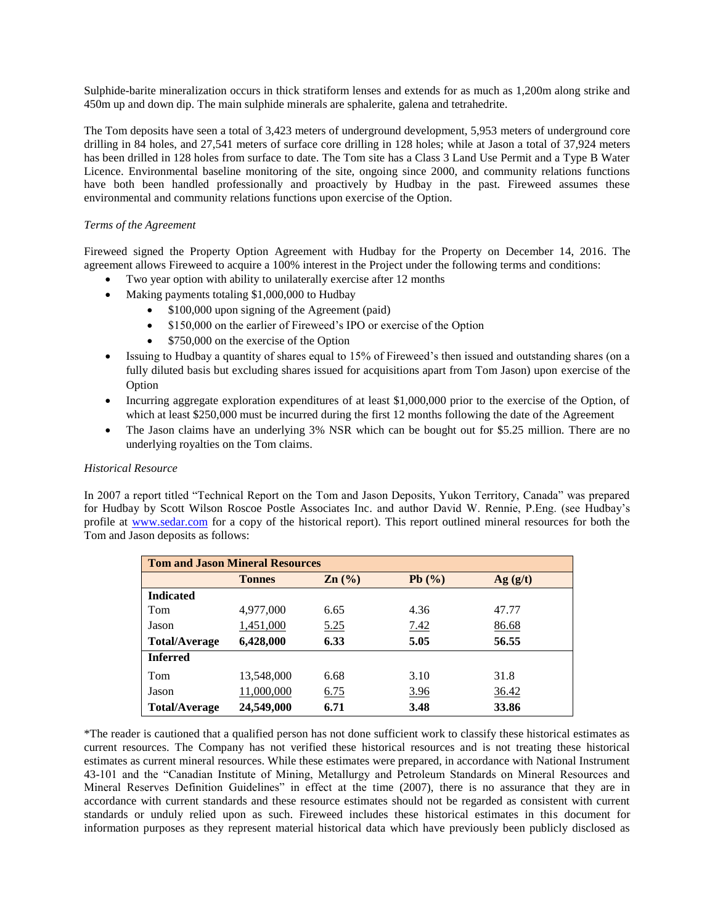Sulphide-barite mineralization occurs in thick stratiform lenses and extends for as much as 1,200m along strike and 450m up and down dip. The main sulphide minerals are sphalerite, galena and tetrahedrite.

The Tom deposits have seen a total of 3,423 meters of underground development, 5,953 meters of underground core drilling in 84 holes, and 27,541 meters of surface core drilling in 128 holes; while at Jason a total of 37,924 meters has been drilled in 128 holes from surface to date. The Tom site has a Class 3 Land Use Permit and a Type B Water Licence. Environmental baseline monitoring of the site, ongoing since 2000, and community relations functions have both been handled professionally and proactively by Hudbay in the past. Fireweed assumes these environmental and community relations functions upon exercise of the Option.

## *Terms of the Agreement*

Fireweed signed the Property Option Agreement with Hudbay for the Property on December 14, 2016. The agreement allows Fireweed to acquire a 100% interest in the Project under the following terms and conditions:

- Two year option with ability to unilaterally exercise after 12 months
- Making payments totaling \$1,000,000 to Hudbay
	- \$100,000 upon signing of the Agreement (paid)
	- \$150,000 on the earlier of Fireweed's IPO or exercise of the Option
	- \$750,000 on the exercise of the Option
- Issuing to Hudbay a quantity of shares equal to 15% of Fireweed's then issued and outstanding shares (on a fully diluted basis but excluding shares issued for acquisitions apart from Tom Jason) upon exercise of the Option
- Incurring aggregate exploration expenditures of at least \$1,000,000 prior to the exercise of the Option, of which at least \$250,000 must be incurred during the first 12 months following the date of the Agreement
- The Jason claims have an underlying 3% NSR which can be bought out for \$5.25 million. There are no underlying royalties on the Tom claims.

## *Historical Resource*

In 2007 a report titled "Technical Report on the Tom and Jason Deposits, Yukon Territory, Canada" was prepared for Hudbay by Scott Wilson Roscoe Postle Associates Inc. and author David W. Rennie, P.Eng. (see Hudbay's profile at [www.sedar.com](http://www.sedar.com/) for a copy of the historical report). This report outlined mineral resources for both the Tom and Jason deposits as follows:

| <b>Tom and Jason Mineral Resources</b> |               |                   |             |         |  |
|----------------------------------------|---------------|-------------------|-------------|---------|--|
|                                        | <b>Tonnes</b> | $\mathbf{Zn}$ (%) | Pb(%)       | Ag(g/t) |  |
| <b>Indicated</b>                       |               |                   |             |         |  |
| Tom                                    | 4,977,000     | 6.65              | 4.36        | 47.77   |  |
| Jason                                  | 1,451,000     | 5.25              | <u>7.42</u> | 86.68   |  |
| <b>Total/Average</b>                   | 6,428,000     | 6.33              | 5.05        | 56.55   |  |
| <b>Inferred</b>                        |               |                   |             |         |  |
| Tom                                    | 13,548,000    | 6.68              | 3.10        | 31.8    |  |
| Jason                                  | 11,000,000    | 6.75              | 3.96        | 36.42   |  |
| <b>Total/Average</b>                   | 24,549,000    | 6.71              | 3.48        | 33.86   |  |

\*The reader is cautioned that a qualified person has not done sufficient work to classify these historical estimates as current resources. The Company has not verified these historical resources and is not treating these historical estimates as current mineral resources. While these estimates were prepared, in accordance with National Instrument 43-101 and the "Canadian Institute of Mining, Metallurgy and Petroleum Standards on Mineral Resources and Mineral Reserves Definition Guidelines" in effect at the time (2007), there is no assurance that they are in accordance with current standards and these resource estimates should not be regarded as consistent with current standards or unduly relied upon as such. Fireweed includes these historical estimates in this document for information purposes as they represent material historical data which have previously been publicly disclosed as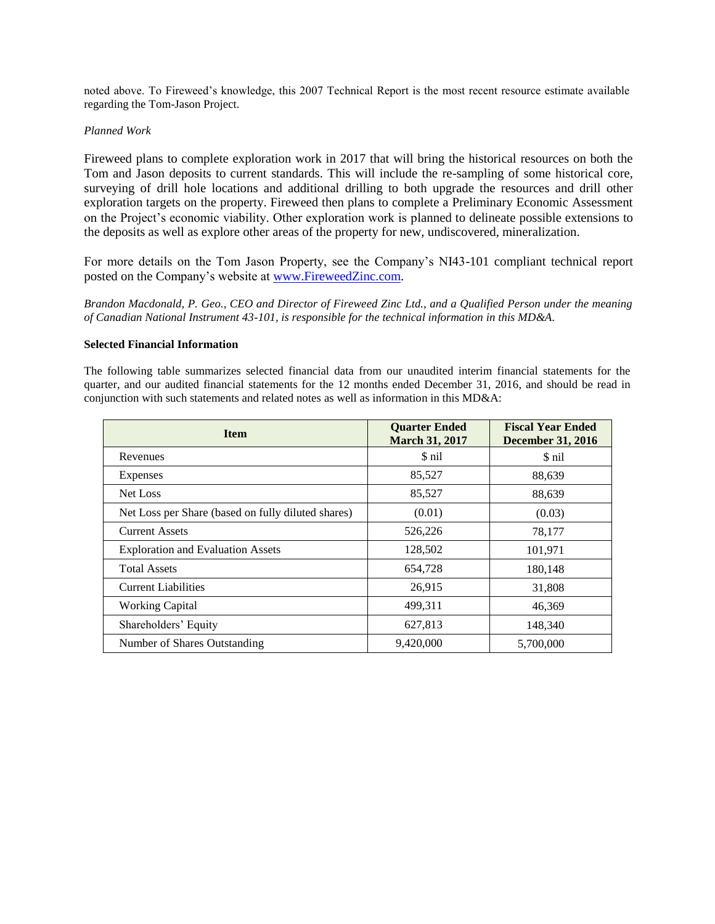noted above. To Fireweed's knowledge, this 2007 Technical Report is the most recent resource estimate available regarding the Tom-Jason Project.

# *Planned Work*

Fireweed plans to complete exploration work in 2017 that will bring the historical resources on both the Tom and Jason deposits to current standards. This will include the re-sampling of some historical core, surveying of drill hole locations and additional drilling to both upgrade the resources and drill other exploration targets on the property. Fireweed then plans to complete a Preliminary Economic Assessment on the Project's economic viability. Other exploration work is planned to delineate possible extensions to the deposits as well as explore other areas of the property for new, undiscovered, mineralization.

For more details on the Tom Jason Property, see the Company's NI43-101 compliant technical report posted on the Company's website at [www.FireweedZinc.com.](http://www.fireweedzinc.com/)

*Brandon Macdonald, P. Geo., CEO and Director of Fireweed Zinc Ltd., and a Qualified Person under the meaning of Canadian National Instrument 43-101, is responsible for the technical information in this MD&A.*

## **Selected Financial Information**

The following table summarizes selected financial data from our unaudited interim financial statements for the quarter, and our audited financial statements for the 12 months ended December 31, 2016, and should be read in conjunction with such statements and related notes as well as information in this MD&A:

| <b>Item</b>                                        | <b>Quarter Ended</b><br><b>March 31, 2017</b> | <b>Fiscal Year Ended</b><br><b>December 31, 2016</b> |  |
|----------------------------------------------------|-----------------------------------------------|------------------------------------------------------|--|
| Revenues                                           | \$ nil                                        | \$ nil                                               |  |
| Expenses                                           | 85,527                                        | 88,639                                               |  |
| Net Loss                                           | 85,527                                        | 88,639                                               |  |
| Net Loss per Share (based on fully diluted shares) | (0.01)                                        | (0.03)                                               |  |
| <b>Current Assets</b>                              | 526,226                                       | 78,177                                               |  |
| <b>Exploration and Evaluation Assets</b>           | 128,502                                       | 101,971                                              |  |
| <b>Total Assets</b>                                | 654,728                                       | 180,148                                              |  |
| <b>Current Liabilities</b>                         | 26,915                                        | 31,808                                               |  |
| <b>Working Capital</b>                             | 499,311                                       | 46,369                                               |  |
| Shareholders' Equity                               | 627,813                                       | 148,340                                              |  |
| Number of Shares Outstanding                       | 9,420,000                                     | 5,700,000                                            |  |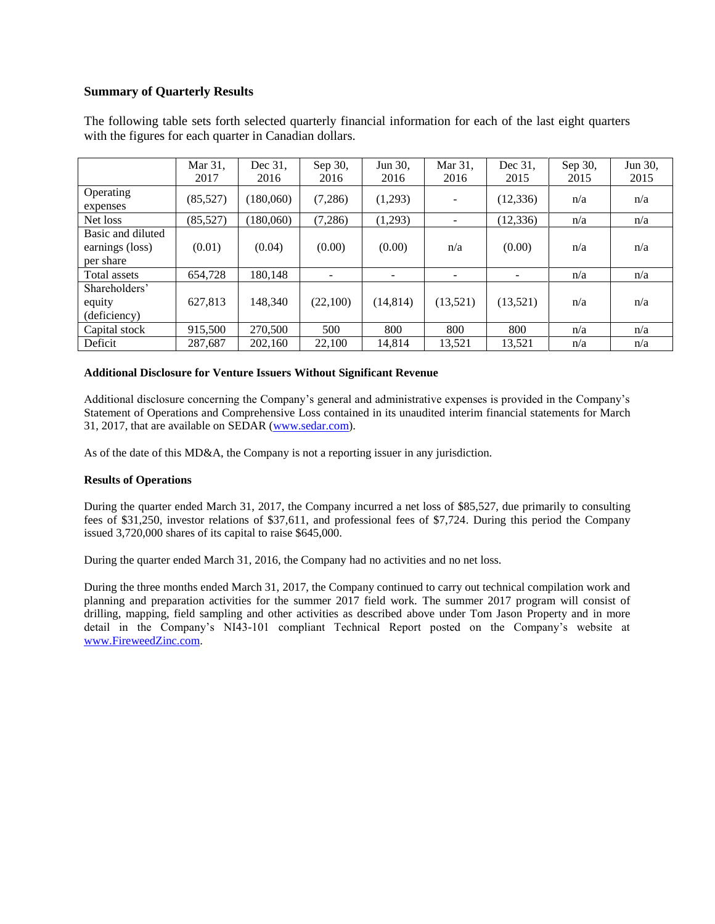# **Summary of Quarterly Results**

|                                                   | Mar 31,<br>2017 | Dec 31,<br>2016 | Sep 30,<br>2016 | Jun 30,<br>2016 | Mar 31.<br>2016          | Dec 31.<br>2015 | Sep 30,<br>2015 | Jun 30,<br>2015 |
|---------------------------------------------------|-----------------|-----------------|-----------------|-----------------|--------------------------|-----------------|-----------------|-----------------|
| Operating<br>expenses                             | (85, 527)       | (180,060)       | (7,286)         | (1,293)         | $\overline{\phantom{0}}$ | (12, 336)       | n/a             | n/a             |
| Net loss                                          | (85, 527)       | (180,060)       | (7,286)         | (1,293)         | ۰                        | (12, 336)       | n/a             | n/a             |
| Basic and diluted<br>earnings (loss)<br>per share | (0.01)          | (0.04)          | (0.00)          | (0.00)          | n/a                      | (0.00)          | n/a             | n/a             |
| Total assets                                      | 654.728         | 180.148         |                 | -               |                          |                 | n/a             | n/a             |
| Shareholders'<br>equity<br>(deficiency)           | 627.813         | 148.340         | (22,100)        | (14, 814)       | (13,521)                 | (13,521)        | n/a             | n/a             |
| Capital stock                                     | 915,500         | 270,500         | 500             | 800             | 800                      | 800             | n/a             | n/a             |
| Deficit                                           | 287.687         | 202,160         | 22,100          | 14.814          | 13.521                   | 13.521          | n/a             | n/a             |

The following table sets forth selected quarterly financial information for each of the last eight quarters with the figures for each quarter in Canadian dollars.

## **Additional Disclosure for Venture Issuers Without Significant Revenue**

Additional disclosure concerning the Company's general and administrative expenses is provided in the Company's Statement of Operations and Comprehensive Loss contained in its unaudited interim financial statements for March 31, 2017, that are available on SEDAR [\(www.sedar.com\)](http://www.sedar.com/).

As of the date of this MD&A, the Company is not a reporting issuer in any jurisdiction.

## **Results of Operations**

During the quarter ended March 31, 2017, the Company incurred a net loss of \$85,527, due primarily to consulting fees of \$31,250, investor relations of \$37,611, and professional fees of \$7,724. During this period the Company issued 3,720,000 shares of its capital to raise \$645,000.

During the quarter ended March 31, 2016, the Company had no activities and no net loss.

During the three months ended March 31, 2017, the Company continued to carry out technical compilation work and planning and preparation activities for the summer 2017 field work. The summer 2017 program will consist of drilling, mapping, field sampling and other activities as described above under Tom Jason Property and in more detail in the Company's NI43-101 compliant Technical Report posted on the Company's website at [www.FireweedZinc.com.](http://www.fireweedzinc.com/)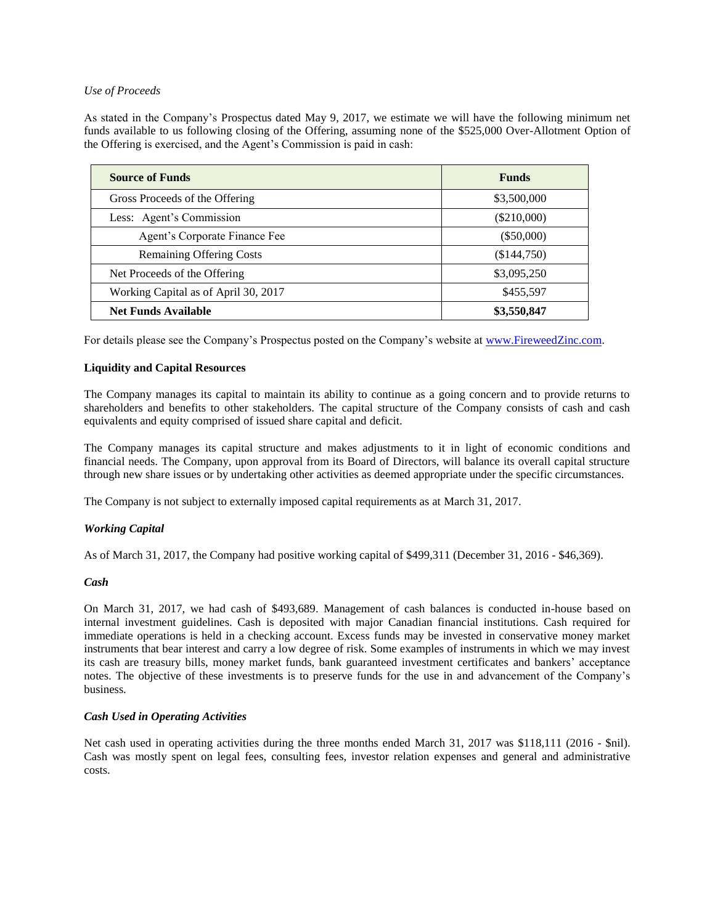## *Use of Proceeds*

As stated in the Company's Prospectus dated May 9, 2017, we estimate we will have the following minimum net funds available to us following closing of the Offering, assuming none of the \$525,000 Over-Allotment Option of the Offering is exercised, and the Agent's Commission is paid in cash:

| <b>Source of Funds</b>               | <b>Funds</b>  |  |  |
|--------------------------------------|---------------|--|--|
| Gross Proceeds of the Offering       | \$3,500,000   |  |  |
| Less: Agent's Commission             | $(\$210,000)$ |  |  |
| Agent's Corporate Finance Fee        | $(\$50,000)$  |  |  |
| <b>Remaining Offering Costs</b>      | (\$144,750)   |  |  |
| Net Proceeds of the Offering         | \$3,095,250   |  |  |
| Working Capital as of April 30, 2017 | \$455,597     |  |  |
| <b>Net Funds Available</b>           | \$3,550,847   |  |  |

For details please see the Company's Prospectus posted on the Company's website at [www.FireweedZinc.com.](http://www.fireweedzinc.com/)

## **Liquidity and Capital Resources**

The Company manages its capital to maintain its ability to continue as a going concern and to provide returns to shareholders and benefits to other stakeholders. The capital structure of the Company consists of cash and cash equivalents and equity comprised of issued share capital and deficit.

The Company manages its capital structure and makes adjustments to it in light of economic conditions and financial needs. The Company, upon approval from its Board of Directors, will balance its overall capital structure through new share issues or by undertaking other activities as deemed appropriate under the specific circumstances.

The Company is not subject to externally imposed capital requirements as at March 31, 2017.

# *Working Capital*

As of March 31, 2017, the Company had positive working capital of \$499,311 (December 31, 2016 - \$46,369).

## *Cash*

On March 31, 2017, we had cash of \$493,689. Management of cash balances is conducted in-house based on internal investment guidelines. Cash is deposited with major Canadian financial institutions. Cash required for immediate operations is held in a checking account. Excess funds may be invested in conservative money market instruments that bear interest and carry a low degree of risk. Some examples of instruments in which we may invest its cash are treasury bills, money market funds, bank guaranteed investment certificates and bankers' acceptance notes. The objective of these investments is to preserve funds for the use in and advancement of the Company's business.

## *Cash Used in Operating Activities*

Net cash used in operating activities during the three months ended March 31, 2017 was \$118,111 (2016 - \$nil). Cash was mostly spent on legal fees, consulting fees, investor relation expenses and general and administrative costs.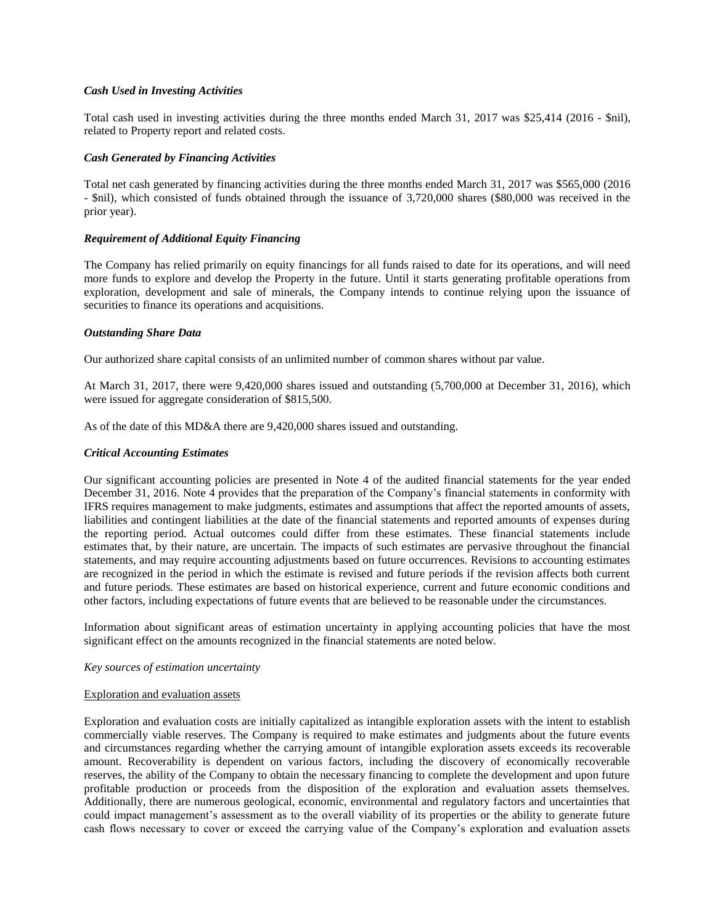## *Cash Used in Investing Activities*

Total cash used in investing activities during the three months ended March 31, 2017 was \$25,414 (2016 - \$nil), related to Property report and related costs.

## *Cash Generated by Financing Activities*

Total net cash generated by financing activities during the three months ended March 31, 2017 was \$565,000 (2016 - \$nil), which consisted of funds obtained through the issuance of 3,720,000 shares (\$80,000 was received in the prior year).

## *Requirement of Additional Equity Financing*

The Company has relied primarily on equity financings for all funds raised to date for its operations, and will need more funds to explore and develop the Property in the future. Until it starts generating profitable operations from exploration, development and sale of minerals, the Company intends to continue relying upon the issuance of securities to finance its operations and acquisitions.

## *Outstanding Share Data*

Our authorized share capital consists of an unlimited number of common shares without par value.

At March 31, 2017, there were 9,420,000 shares issued and outstanding (5,700,000 at December 31, 2016), which were issued for aggregate consideration of \$815,500.

As of the date of this MD&A there are 9,420,000 shares issued and outstanding.

## *Critical Accounting Estimates*

Our significant accounting policies are presented in Note 4 of the audited financial statements for the year ended December 31, 2016. Note 4 provides that the preparation of the Company's financial statements in conformity with IFRS requires management to make judgments, estimates and assumptions that affect the reported amounts of assets, liabilities and contingent liabilities at the date of the financial statements and reported amounts of expenses during the reporting period. Actual outcomes could differ from these estimates. These financial statements include estimates that, by their nature, are uncertain. The impacts of such estimates are pervasive throughout the financial statements, and may require accounting adjustments based on future occurrences. Revisions to accounting estimates are recognized in the period in which the estimate is revised and future periods if the revision affects both current and future periods. These estimates are based on historical experience, current and future economic conditions and other factors, including expectations of future events that are believed to be reasonable under the circumstances.

Information about significant areas of estimation uncertainty in applying accounting policies that have the most significant effect on the amounts recognized in the financial statements are noted below.

## *Key sources of estimation uncertainty*

## Exploration and evaluation assets

Exploration and evaluation costs are initially capitalized as intangible exploration assets with the intent to establish commercially viable reserves. The Company is required to make estimates and judgments about the future events and circumstances regarding whether the carrying amount of intangible exploration assets exceeds its recoverable amount. Recoverability is dependent on various factors, including the discovery of economically recoverable reserves, the ability of the Company to obtain the necessary financing to complete the development and upon future profitable production or proceeds from the disposition of the exploration and evaluation assets themselves. Additionally, there are numerous geological, economic, environmental and regulatory factors and uncertainties that could impact management's assessment as to the overall viability of its properties or the ability to generate future cash flows necessary to cover or exceed the carrying value of the Company's exploration and evaluation assets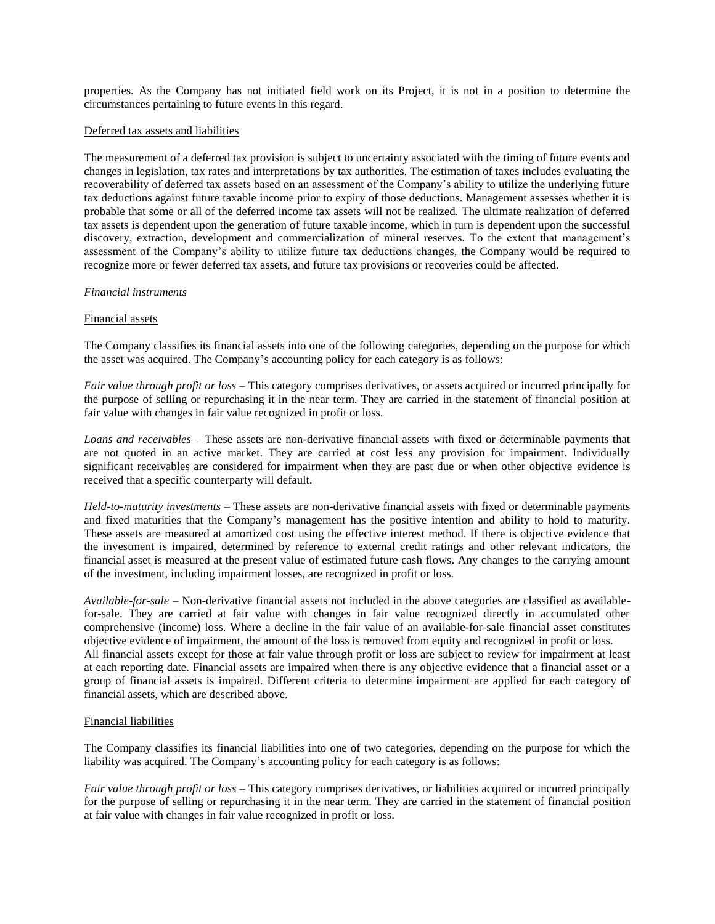properties. As the Company has not initiated field work on its Project, it is not in a position to determine the circumstances pertaining to future events in this regard.

#### Deferred tax assets and liabilities

The measurement of a deferred tax provision is subject to uncertainty associated with the timing of future events and changes in legislation, tax rates and interpretations by tax authorities. The estimation of taxes includes evaluating the recoverability of deferred tax assets based on an assessment of the Company's ability to utilize the underlying future tax deductions against future taxable income prior to expiry of those deductions. Management assesses whether it is probable that some or all of the deferred income tax assets will not be realized. The ultimate realization of deferred tax assets is dependent upon the generation of future taxable income, which in turn is dependent upon the successful discovery, extraction, development and commercialization of mineral reserves. To the extent that management's assessment of the Company's ability to utilize future tax deductions changes, the Company would be required to recognize more or fewer deferred tax assets, and future tax provisions or recoveries could be affected.

#### *Financial instruments*

#### Financial assets

The Company classifies its financial assets into one of the following categories, depending on the purpose for which the asset was acquired. The Company's accounting policy for each category is as follows:

*Fair value through profit or loss* – This category comprises derivatives, or assets acquired or incurred principally for the purpose of selling or repurchasing it in the near term. They are carried in the statement of financial position at fair value with changes in fair value recognized in profit or loss.

*Loans and receivables* – These assets are non-derivative financial assets with fixed or determinable payments that are not quoted in an active market. They are carried at cost less any provision for impairment. Individually significant receivables are considered for impairment when they are past due or when other objective evidence is received that a specific counterparty will default.

*Held-to-maturity investments* – These assets are non-derivative financial assets with fixed or determinable payments and fixed maturities that the Company's management has the positive intention and ability to hold to maturity. These assets are measured at amortized cost using the effective interest method. If there is objective evidence that the investment is impaired, determined by reference to external credit ratings and other relevant indicators, the financial asset is measured at the present value of estimated future cash flows. Any changes to the carrying amount of the investment, including impairment losses, are recognized in profit or loss.

*Available-for-sale* – Non-derivative financial assets not included in the above categories are classified as availablefor-sale. They are carried at fair value with changes in fair value recognized directly in accumulated other comprehensive (income) loss. Where a decline in the fair value of an available-for-sale financial asset constitutes objective evidence of impairment, the amount of the loss is removed from equity and recognized in profit or loss. All financial assets except for those at fair value through profit or loss are subject to review for impairment at least at each reporting date. Financial assets are impaired when there is any objective evidence that a financial asset or a group of financial assets is impaired. Different criteria to determine impairment are applied for each category of financial assets, which are described above.

#### Financial liabilities

The Company classifies its financial liabilities into one of two categories, depending on the purpose for which the liability was acquired. The Company's accounting policy for each category is as follows:

*Fair value through profit or loss* – This category comprises derivatives, or liabilities acquired or incurred principally for the purpose of selling or repurchasing it in the near term. They are carried in the statement of financial position at fair value with changes in fair value recognized in profit or loss.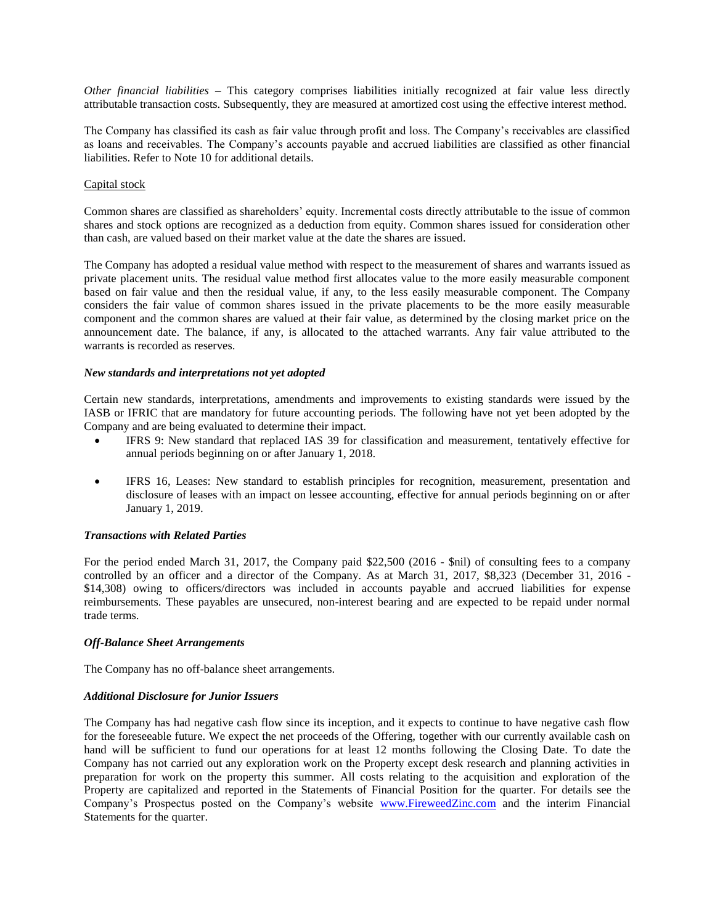*Other financial liabilities* – This category comprises liabilities initially recognized at fair value less directly attributable transaction costs. Subsequently, they are measured at amortized cost using the effective interest method.

The Company has classified its cash as fair value through profit and loss. The Company's receivables are classified as loans and receivables. The Company's accounts payable and accrued liabilities are classified as other financial liabilities. Refer to Note 10 for additional details.

## Capital stock

Common shares are classified as shareholders' equity. Incremental costs directly attributable to the issue of common shares and stock options are recognized as a deduction from equity. Common shares issued for consideration other than cash, are valued based on their market value at the date the shares are issued.

The Company has adopted a residual value method with respect to the measurement of shares and warrants issued as private placement units. The residual value method first allocates value to the more easily measurable component based on fair value and then the residual value, if any, to the less easily measurable component. The Company considers the fair value of common shares issued in the private placements to be the more easily measurable component and the common shares are valued at their fair value, as determined by the closing market price on the announcement date. The balance, if any, is allocated to the attached warrants. Any fair value attributed to the warrants is recorded as reserves.

## *New standards and interpretations not yet adopted*

Certain new standards, interpretations, amendments and improvements to existing standards were issued by the IASB or IFRIC that are mandatory for future accounting periods. The following have not yet been adopted by the Company and are being evaluated to determine their impact.

- IFRS 9: New standard that replaced IAS 39 for classification and measurement, tentatively effective for annual periods beginning on or after January 1, 2018.
- IFRS 16, Leases: New standard to establish principles for recognition, measurement, presentation and disclosure of leases with an impact on lessee accounting, effective for annual periods beginning on or after January 1, 2019.

## *Transactions with Related Parties*

For the period ended March 31, 2017, the Company paid \$22,500 (2016 - \$nil) of consulting fees to a company controlled by an officer and a director of the Company. As at March 31, 2017, \$8,323 (December 31, 2016 - \$14,308) owing to officers/directors was included in accounts payable and accrued liabilities for expense reimbursements. These payables are unsecured, non-interest bearing and are expected to be repaid under normal trade terms.

## *Off-Balance Sheet Arrangements*

The Company has no off-balance sheet arrangements.

## *Additional Disclosure for Junior Issuers*

The Company has had negative cash flow since its inception, and it expects to continue to have negative cash flow for the foreseeable future. We expect the net proceeds of the Offering, together with our currently available cash on hand will be sufficient to fund our operations for at least 12 months following the Closing Date. To date the Company has not carried out any exploration work on the Property except desk research and planning activities in preparation for work on the property this summer. All costs relating to the acquisition and exploration of the Property are capitalized and reported in the Statements of Financial Position for the quarter. For details see the Company's Prospectus posted on the Company's website [www.FireweedZinc.com](http://www.fireweedzinc.com/) and the interim Financial Statements for the quarter.